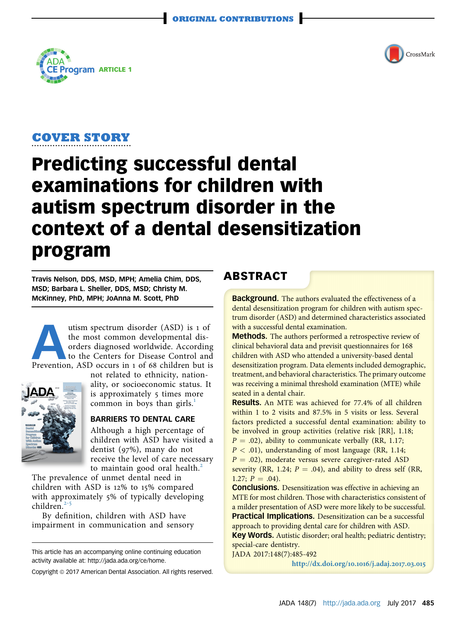



#### COVER STORY ....................................

# Predicting successful dental examinations for children with autism spectrum disorder in the context of a dental desensitization program

Travis Nelson, DDS, MSD, MPH; Amelia Chim, DDS, MSD; Barbara L. Sheller, DDS, MSD; Christy M. McKinney, PhD, MPH; JoAnna M. Scott, PhD

We utism spectrum disorder (ASD) is 1 of<br>the most common developmental dis-<br>orders diagnosed worldwide. According<br>to the Centers for Disease Control and<br>Prevention, ASD occurs in 1 of 68 children but is the most common developmental disorders diagnosed worldwide. According to the Centers for Disease Control and



not related to ethnicity, nationality, or socioeconomic status. It is approximately 5 times more common in boys than girls. $<sup>1</sup>$  $<sup>1</sup>$  $<sup>1</sup>$ </sup>

## BARRIERS TO DENTAL CARE

Although a high percentage of children with ASD have visited a dentist (97%), many do not receive the level of care necessary to maintain good oral health.<sup>[2](#page-6-0)</sup>

The prevalence of unmet dental need in children with ASD is 12% to 15% compared with ap[pro](#page-6-0)ximately 5% of typically developing children. $2-5$ 

By definition, children with ASD have impairment in communication and sensory

This article has an accompanying online continuing education activity available at: http://jada.ada.org/ce/home.

Copyright @ 2017 American Dental Association. All rights reserved.

# ABSTRACT

**Background.** The authors evaluated the effectiveness of a dental desensitization program for children with autism spectrum disorder (ASD) and determined characteristics associated with a successful dental examination.

Methods. The authors performed a retrospective review of clinical behavioral data and previsit questionnaires for 168 children with ASD who attended a university-based dental desensitization program. Data elements included demographic, treatment, and behavioral characteristics. The primary outcome was receiving a minimal threshold examination (MTE) while seated in a dental chair.

Results. An MTE was achieved for 77.4% of all children within 1 to 2 visits and 87.5% in 5 visits or less. Several factors predicted a successful dental examination: ability to be involved in group activities (relative risk [RR], 1.18;  $P = .02$ ), ability to communicate verbally (RR, 1.17;

 $P < .01$ ), understanding of most language (RR, 1.14;  $P = .02$ ), moderate versus severe caregiver-rated ASD severity (RR, 1.24;  $P = .04$ ), and ability to dress self (RR, 1.27;  $P = .04$ ).

**Conclusions.** Desensitization was effective in achieving an MTE for most children. Those with characteristics consistent of a milder presentation of ASD were more likely to be successful. **Practical Implications.** Desensitization can be a successful approach to providing dental care for children with ASD.

Key Words. Autistic disorder; oral health; pediatric dentistry; special-care dentistry.

JADA 2017:148(7):485-492

[http://dx.doi.org/](http://dx.doi.org/10.1016/j.adaj.2017.03.015)10.1016/j.adaj.2017.03.015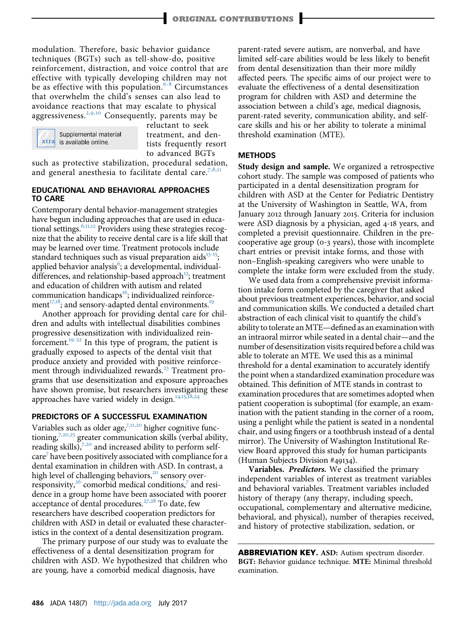modulation. Therefore, basic behavior guidance techniques (BGTs) such as tell-show-do, positive reinforcement, distraction, and voice control that are effective with typically developing [chi](#page-7-0)ldren may not be as effective with this population.<sup>6-8</sup> Circumstances that overwhelm the child's senses can also lead to avoidance rea[ction](#page-6-0)s that may escalate to physical aggressiveness.<sup>2,9,10</sup> Consequently, parents may be



reluctant to seek treatment, and dentists frequently resort to advanced BGTs

such as protective stabilization, procedural sed[ation](#page-7-0), and general anesthesia to facilitate dental care.<sup>7,8,11</sup>

#### EDUCATIONAL AND BEHAVIORAL APPROACHES TO CARE

Contemporary dental behavior-management strategies have begun in[cludi](#page-7-0)ng approaches that are used in educational settings. $6,11,12$  Providers using these strategies recognize that the ability to receive dental care is a life skill that may be learned over time. Treatment protocols inc[lude](#page-7-0) standard techniques such as visual preparation aids $13-15$ ; applied behavior analysis<sup>[6](#page-7-0)</sup>; a developmental, individual-differences, and relationship-based approach<sup>[13](#page-7-0)</sup>; treatment and education of children with autism and related com[mun](#page-7-0)ication handicaps<sup>[16](#page-7-0)</sup>; individualized reinforcement $17,18$ ; and sensory-adapted dental environments.<sup>[19](#page-7-0)</sup>

Another approach for providing dental care for children and adults with intellectual disabilities combines progressiv[e des](#page-7-0)ensitization with individualized reinforcement.19-<sup>22</sup> In this type of program, the patient is gradually exposed to aspects of the dental visit that produce anxiety and provided with positive reinforcement through individualized rewards. $^{23}$  $^{23}$  $^{23}$  Treatment programs that use desensitization and exposure approaches have shown promise, but researchers inv[estigatin](#page-7-0)g these approaches have varied widely in design. $14,15$ 

#### PREDICTORS OF A SUCCESSFUL EXAMINATION

Variabl[es suc](#page-7-0)h as older age, $7,11,20$  $7,11,20$  higher cognitive functioning, $7,20,25$  greater communication skills (verbal ability, reading skills), $7,20$  $7,20$  and increased ability to perform selfcare[7](#page-7-0) have been positively associated with compliance for a dental examination in children with ASD. In contrast, a high level of challenging behaviors,<sup>[20](#page-7-0)</sup> sensory over-responsivity,<sup>[26](#page-7-0)</sup> comorbid medical conditions,<sup>[7](#page-7-0)</sup> and residence in a group home have bee[n as](#page-7-0)sociated with poorer acceptance of dental procedures.<sup>27,28</sup> To date, few researchers have described cooperation predictors for children with ASD in detail or evaluated these characteristics in the context of a dental desensitization program.

The primary purpose of our study was to evaluate the effectiveness of a dental desensitization program for children with ASD. We hypothesized that children who are young, have a comorbid medical diagnosis, have

parent-rated severe autism, are nonverbal, and have limited self-care abilities would be less likely to benefit from dental desensitization than their more mildly affected peers. The specific aims of our project were to evaluate the effectiveness of a dental desensitization program for children with ASD and determine the association between a child's age, medical diagnosis, parent-rated severity, communication ability, and selfcare skills and his or her ability to tolerate a minimal threshold examination (MTE).

### **METHODS**

Study design and sample. We organized a retrospective cohort study. The sample was composed of patients who participated in a dental desensitization program for children with ASD at the Center for Pediatric Dentistry at the University of Washington in Seattle, WA, from January 2012 through January 2015. Criteria for inclusion were ASD diagnosis by a physician, aged 4-18 years, and completed a previsit questionnaire. Children in the precooperative age group (0-3 years), those with incomplete chart entries or previsit intake forms, and those with non–English-speaking caregivers who were unable to complete the intake form were excluded from the study.

We used data from a comprehensive previsit information intake form completed by the caregiver that asked about previous treatment experiences, behavior, and social and communication skills. We conducted a detailed chart abstraction of each clinical visit to quantify the child's ability to tolerate an MTE—defined as an examination with an intraoral mirror while seated in a dental chair—and the number of desensitization visits required before a child was able to tolerate an MTE. We used this as a minimal threshold for a dental examination to accurately identify the point when a standardized examination procedure was obtained. This definition of MTE stands in contrast to examination procedures that are sometimes adopted when patient cooperation is suboptimal (for example, an examination with the patient standing in the corner of a room, using a penlight while the patient is seated in a nondental chair, and using fingers or a toothbrush instead of a dental mirror). The University of Washington Institutional Review Board approved this study for human participants (Human Subjects Division #49134).

Variables. Predictors. We classified the primary independent variables of interest as treatment variables and behavioral variables. Treatment variables included history of therapy (any therapy, including speech, occupational, complementary and alternative medicine, behavioral, and physical), number of therapies received, and history of protective stabilization, sedation, or

ABBREVIATION KEY. ASD: Autism spectrum disorder. BGT: Behavior guidance technique. MTE: Minimal threshold examination.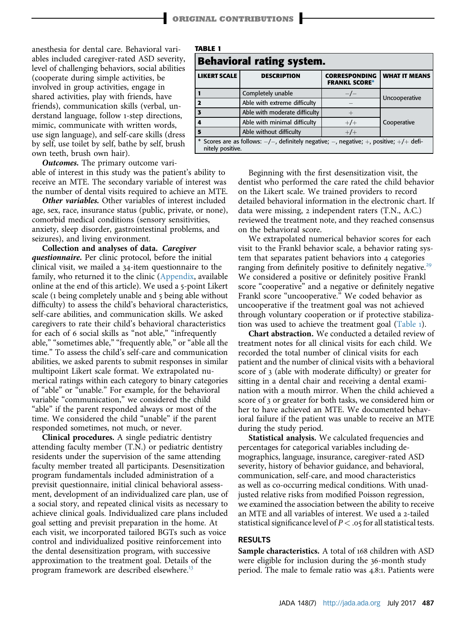anesthesia for dental care. Behavioral variables included caregiver-rated ASD severity, level of challenging behaviors, social abilities (cooperate during simple activities, be involved in group activities, engage in shared activities, play with friends, have friends), communication skills (verbal, understand language, follow 1-step directions, mimic, communicate with written words, use sign language), and self-care skills (dress by self, use toilet by self, bathe by self, brush own teeth, brush own hair).

**Outcomes.** The primary outcome vari-

able of interest in this study was the patient's ability to receive an MTE. The secondary variable of interest was the number of dental visits required to achieve an MTE.

**Other variables.** Other variables of interest included age, sex, race, insurance status (public, private, or none), comorbid medical conditions (sensory sensitivities, anxiety, sleep disorder, gastrointestinal problems, and seizures), and living environment.

Collection and analyses of data. Caregiver questionnaire. Per clinic protocol, before the initial clinical visit, we mailed a 34-item questionnaire to the family, who returned it to the clinic (Appendix, available online at the end of this article). We used a 5-point Likert scale (1 being completely unable and 5 being able without difficulty) to assess the child's behavioral characteristics, self-care abilities, and communication skills. We asked caregivers to rate their child's behavioral characteristics for each of 6 social skills as "not able," "infrequently able," "sometimes able," "frequently able," or "able all the time." To assess the child's self-care and communication abilities, we asked parents to submit responses in similar multipoint Likert scale format. We extrapolated numerical ratings within each category to binary categories of "able" or "unable." For example, for the behavioral variable "communication," we considered the child "able" if the parent responded always or most of the time. We considered the child "unable" if the parent responded sometimes, not much, or never.

Clinical procedures. A single pediatric dentistry attending faculty member (T.N.) or pediatric dentistry residents under the supervision of the same attending faculty member treated all participants. Desensitization program fundamentals included administration of a previsit questionnaire, initial clinical behavioral assessment, development of an individualized care plan, use of a social story, and repeated clinical visits as necessary to achieve clinical goals. Individualized care plans included goal setting and previsit preparation in the home. At each visit, we incorporated tailored BGTs such as voice control and individualized positive reinforcement into the dental desensitization program, with successive approximation to the treatment goal. Details of the program framework are described elsewhere.<sup>[13](#page-7-0)</sup>

| IABLE 1                                                                                                                   |                               |                                              |                      |  |  |  |
|---------------------------------------------------------------------------------------------------------------------------|-------------------------------|----------------------------------------------|----------------------|--|--|--|
| <b>Behavioral rating system.</b>                                                                                          |                               |                                              |                      |  |  |  |
| <b>LIKERT SCALE</b>                                                                                                       | <b>DESCRIPTION</b>            | <b>CORRESPONDING</b><br><b>FRANKL SCORE*</b> | <b>WHAT IT MEANS</b> |  |  |  |
|                                                                                                                           | Completely unable             | $-/-$                                        | Uncooperative        |  |  |  |
|                                                                                                                           | Able with extreme difficulty  |                                              |                      |  |  |  |
|                                                                                                                           | Able with moderate difficulty |                                              |                      |  |  |  |
| 4                                                                                                                         | Able with minimal difficulty  | $+/-$                                        | Cooperative          |  |  |  |
| 5                                                                                                                         | Able without difficulty       | $+/-$                                        |                      |  |  |  |
| * Scores are as follows: $-/-$ , definitely negative; $-$ , negative; $+$ , positive; $+$ / $+$ defi-<br>nitely positive. |                               |                                              |                      |  |  |  |

TABLE 1

Beginning with the first desensitization visit, the dentist who performed the care rated the child behavior on the Likert scale. We trained providers to record detailed behavioral information in the electronic chart. If data were missing, 2 independent raters (T.N., A.C.) reviewed the treatment note, and they reached consensus on the behavioral score.

We extrapolated numerical behavior scores for each visit to the Frankl behavior scale, a behavior rating system that separates patient behaviors into 4 categories ranging from definitely positive to definitely negative.<sup>[29](#page-7-0)</sup> We considered a positive or definitely positive Frankl score "cooperative" and a negative or definitely negative Frankl score "uncooperative." We coded behavior as uncooperative if the treatment goal was not achieved through voluntary cooperation or if protective stabilization was used to achieve the treatment goal (Table 1).

Chart abstraction. We conducted a detailed review of treatment notes for all clinical visits for each child. We recorded the total number of clinical visits for each patient and the number of clinical visits with a behavioral score of 3 (able with moderate difficulty) or greater for sitting in a dental chair and receiving a dental examination with a mouth mirror. When the child achieved a score of 3 or greater for both tasks, we considered him or her to have achieved an MTE. We documented behavioral failure if the patient was unable to receive an MTE during the study period.

Statistical analysis. We calculated frequencies and percentages for categorical variables including demographics, language, insurance, caregiver-rated ASD severity, history of behavior guidance, and behavioral, communication, self-care, and mood characteristics as well as co-occurring medical conditions. With unadjusted relative risks from modified Poisson regression, we examined the association between the ability to receive an MTE and all variables of interest. We used a 2-tailed statistical significance level of  $P < .05$  for all statistical tests.

#### RESULTS

Sample characteristics. A total of 168 children with ASD were eligible for inclusion during the 36-month study period. The male to female ratio was 4.8:1. Patients were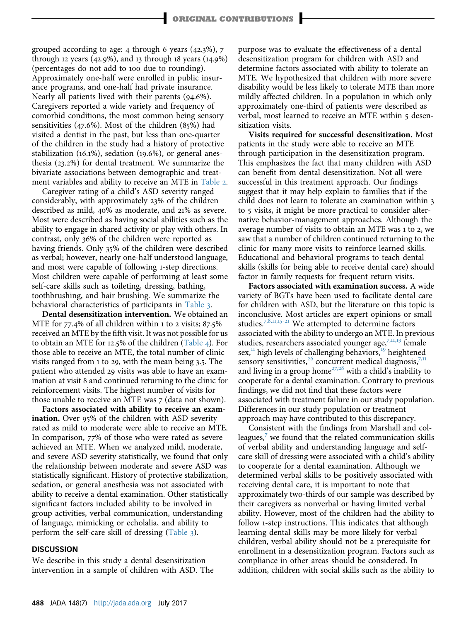grouped according to age: 4 through 6 years (42.3%), 7 through 12 years (42.9%), and 13 through 18 years (14.9%) (percentages do not add to 100 due to rounding). Approximately one-half were enrolled in public insurance programs, and one-half had private insurance. Nearly all patients lived with their parents (94.6%). Caregivers reported a wide variety and frequency of comorbid conditions, the most common being sensory sensitivities (47.6%). Most of the children (85%) had visited a dentist in the past, but less than one-quarter of the children in the study had a history of protective stabilization (16.1%), sedation (19.6%), or general anesthesia (23.2%) for dental treatment. We summarize the bivariate associations between demographic and treatment variables and ability to receive an MTE in [Table](#page-4-0) 2.

Caregiver rating of a child's ASD severity ranged considerably, with approximately 23% of the children described as mild, 40% as moderate, and 21% as severe. Most were described as having social abilities such as the ability to engage in shared activity or play with others. In contrast, only 36% of the children were reported as having friends. Only 35% of the children were described as verbal; however, nearly one-half understood language, and most were capable of following 1-step directions. Most children were capable of performing at least some self-care skills such as toileting, dressing, bathing, toothbrushing, and hair brushing. We summarize the behavioral characteristics of participants in [Table](#page-5-0) 3.

Dental desensitization intervention. We obtained an MTE for 77.4% of all children within 1 to 2 visits; 87.5% received an MTE by the fifth visit. It was not possible for us to obtain an MTE for 12.5% of the children ([Table](#page-5-0) 4). For those able to receive an MTE, the total number of clinic visits ranged from 1 to 29, with the mean being 3.5. The patient who attended 29 visits was able to have an examination at visit 8 and continued returning to the clinic for reinforcement visits. The highest number of visits for those unable to receive an MTE was 7 (data not shown).

Factors associated with ability to receive an examination. Over 95% of the children with ASD severity rated as mild to moderate were able to receive an MTE. In comparison, 77% of those who were rated as severe achieved an MTE. When we analyzed mild, moderate, and severe ASD severity statistically, we found that only the relationship between moderate and severe ASD was statistically significant. History of protective stabilization, sedation, or general anesthesia was not associated with ability to receive a dental examination. Other statistically significant factors included ability to be involved in group activities, verbal communication, understanding of language, mimicking or echolalia, and ability to perform the self-care skill of dressing [\(Table](#page-5-0) 3).

#### **DISCUSSION**

We describe in this study a dental desensitization intervention in a sample of children with ASD. The purpose was to evaluate the effectiveness of a dental desensitization program for children with ASD and determine factors associated with ability to tolerate an MTE. We hypothesized that children with more severe disability would be less likely to tolerate MTE than more mildly affected children. In a population in which only approximately one-third of patients were described as verbal, most learned to receive an MTE within 5 desensitization visits.

Visits required for successful desensitization. Most patients in the study were able to receive an MTE through participation in the desensitization program. This emphasizes the fact that many children with ASD can benefit from dental desensitization. Not all were successful in this treatment approach. Our findings suggest that it may help explain to families that if the child does not learn to tolerate an examination within 3 to 5 visits, it might be more practical to consider alternative behavior-management approaches. Although the average number of visits to obtain an MTE was 1 to 2, we saw that a number of children continued returning to the clinic for many more visits to reinforce learned skills. Educational and behavioral programs to teach dental skills (skills for being able to receive dental care) should factor in family requests for frequent return visits.

Factors associated with examination success. A wide variety of BGTs have been used to facilitate dental care for children with ASD, but the literature on this topic is inconcl[usive. M](#page-7-0)ost articles are expert opinions or small studies.<sup>7,8,11,15-21</sup> We attempted to determine factors associated with the ability to undergo an M[TE. In](#page-7-0) previous studies, researchers associated younger age,<sup>7,11,19</sup> female sex,<sup>[11](#page-7-0)</sup> high levels of challenging behaviors,<sup>[19](#page-7-0)</sup> heightened sensory sensitivities,  $^{26}$  $^{26}$  $^{26}$  con[curre](#page-7-0)nt medical diagnosis,  $^{7,11}$  $^{7,11}$  $^{7,11}$ and living in a group home<sup> $27,28$ </sup> with a child's inability to cooperate for a dental examination. Contrary to previous findings, we did not find that these factors were associated with treatment failure in our study population. Differences in our study population or treatment approach may have contributed to this discrepancy.

Consistent with the findings from Marshall and colleagues, $\frac{7}{1}$  $\frac{7}{1}$  $\frac{7}{1}$  we found that the related communication skills of verbal ability and understanding language and selfcare skill of dressing were associated with a child's ability to cooperate for a dental examination. Although we determined verbal skills to be positively associated with receiving dental care, it is important to note that approximately two-thirds of our sample was described by their caregivers as nonverbal or having limited verbal ability. However, most of the children had the ability to follow 1-step instructions. This indicates that although learning dental skills may be more likely for verbal children, verbal ability should not be a prerequisite for enrollment in a desensitization program. Factors such as compliance in other areas should be considered. In addition, children with social skills such as the ability to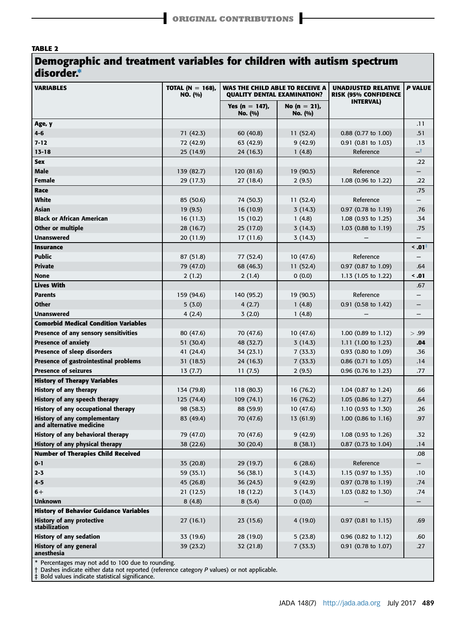## <span id="page-4-0"></span>TABLE 2

# Demographic and treatment variables for children with autism spectrum disorder.\*

| <b>VARIABLES</b>                                         | TOTAL (N = 168),<br>NO. (%) | WAS THE CHILD ABLE TO RECEIVE A<br><b>OUALITY DENTAL EXAMINATION?</b> |                            | <b>UNADJUSTED RELATIVE</b><br><b>RISK (95% CONFIDENCE</b> | <b>P VALUE</b> |  |
|----------------------------------------------------------|-----------------------------|-----------------------------------------------------------------------|----------------------------|-----------------------------------------------------------|----------------|--|
|                                                          |                             | Yes (n = 147),<br>No. (%)                                             | No $(n = 21)$ ,<br>No. (%) | <b>INTERVAL)</b>                                          |                |  |
| Age, y                                                   |                             |                                                                       |                            |                                                           | .11            |  |
| $4 - 6$                                                  | 71 (42.3)                   | 60 (40.8)                                                             | 11(52.4)                   | $0.88$ (0.77 to 1.00)                                     | .51            |  |
| $7 - 12$                                                 | 72 (42.9)                   | 63 (42.9)                                                             | 9(42.9)                    | 0.91 (0.81 to 1.03)                                       | .13            |  |
| $13 - 18$                                                | 25 (14.9)                   | 24 (16.3)                                                             | 1(4.8)                     | Reference                                                 | ᅿ              |  |
| <b>Sex</b>                                               |                             |                                                                       |                            |                                                           | .22            |  |
| Male                                                     | 139 (82.7)                  | 120 (81.6)                                                            | 19 (90.5)                  | Reference                                                 | -              |  |
| Female                                                   | 29 (17.3)                   | 27(18.4)                                                              | 2(9.5)                     | 1.08 (0.96 to 1.22)                                       | .22            |  |
| Race                                                     |                             |                                                                       |                            |                                                           | .75            |  |
| White                                                    | 85 (50.6)                   | 74 (50.3)                                                             | 11 (52.4)                  | Reference                                                 |                |  |
| Asian                                                    | 19(9.5)                     | 16 (10.9)                                                             | 3(14.3)                    | 0.97 (0.78 to 1.19)                                       | .76            |  |
| <b>Black or African American</b>                         | 16(11.3)                    | 15 (10.2)                                                             | 1(4.8)                     | 1.08 $(0.93 \text{ to } 1.25)$                            | .34            |  |
| Other or multiple                                        | 28 (16.7)                   | 25 (17.0)                                                             | 3(14.3)                    | 1.03 (0.88 to 1.19)                                       | .75            |  |
| <b>Unanswered</b>                                        | 20 (11.9)                   | 17 (11.6)                                                             | 3(14.3)                    |                                                           |                |  |
| <b>Insurance</b>                                         |                             |                                                                       |                            |                                                           | - 10. >        |  |
| <b>Public</b>                                            | 87 (51.8)                   | 77 (52.4)                                                             | 10(47.6)                   | Reference                                                 |                |  |
| <b>Private</b>                                           | 79 (47.0)                   | 68 (46.3)                                                             | 11(52.4)                   | 0.97 (0.87 to 1.09)                                       | .64            |  |
| <b>None</b>                                              | 2(1.2)                      | 2(1.4)                                                                | 0(0.0)                     | $1.13$ (1.05 to 1.22)                                     | $\leq .01$     |  |
| <b>Lives With</b>                                        |                             |                                                                       |                            |                                                           | .67            |  |
| <b>Parents</b>                                           | 159 (94.6)                  | 140 (95.2)                                                            | 19 (90.5)                  | Reference                                                 |                |  |
| <b>Other</b>                                             | 5(3.0)                      | 4(2.7)                                                                | 1(4.8)                     | 0.91 (0.58 to 1.42)                                       |                |  |
| <b>Unanswered</b>                                        | 4(2.4)                      | 3(2.0)                                                                | 1(4.8)                     |                                                           |                |  |
| <b>Comorbid Medical Condition Variables</b>              |                             |                                                                       |                            |                                                           |                |  |
| Presence of any sensory sensitivities                    | 80 (47.6)                   | 70 (47.6)                                                             | 10(47.6)                   | 1.00 $(0.89 \text{ to } 1.12)$                            | > .99          |  |
| <b>Presence of anxiety</b>                               | 51 (30.4)                   | 48 (32.7)                                                             | 3(14.3)                    | 1.11 $(1.00 \text{ to } 1.23)$                            | .04            |  |
| <b>Presence of sleep disorders</b>                       | 41 (24.4)                   | 34 (23.1)                                                             | 7(33.3)                    | 0.93 (0.80 to 1.09)                                       | .36            |  |
| Presence of gastrointestinal problems                    | 31 (18.5)                   | 24 (16.3)                                                             | 7(33.3)                    | 0.86 (0.71 to 1.05)                                       | .14            |  |
| <b>Presence of seizures</b>                              | 13(7.7)                     | 11(7.5)                                                               | 2(9.5)                     | 0.96 (0.76 to 1.23)                                       | .77            |  |
| <b>History of Therapy Variables</b>                      |                             |                                                                       |                            |                                                           |                |  |
| History of any therapy                                   | 134 (79.8)                  | 118 (80.3)                                                            | 16 (76.2)                  | 1.04 $(0.87 \text{ to } 1.24)$                            | .66            |  |
| History of any speech therapy                            | 125 (74.4)                  | 109(74.1)                                                             | 16 (76.2)                  | 1.05 (0.86 to 1.27)                                       | .64            |  |
| History of any occupational therapy                      | 98 (58.3)                   | 88 (59.9)                                                             | 10(47.6)                   | 1.10 (0.93 to 1.30)                                       | .26            |  |
| History of any complementary<br>and alternative medicine | 83 (49.4)                   | 70 (47.6)                                                             | 13 (61.9)                  | 1.00 (0.86 to 1.16)                                       | .97            |  |
| History of any behavioral therapy                        | 79 (47.0)                   | 70 (47.6)                                                             | 9(42.9)                    | 1.08 (0.93 to 1.26)                                       | .32            |  |
| History of any physical therapy                          | 38 (22.6)                   | 30 (20.4)                                                             | 8(38.1)                    | 0.87 (0.73 to 1.04)                                       | .14            |  |
| <b>Number of Therapies Child Received</b>                |                             |                                                                       |                            |                                                           | .08            |  |
| $0 - 1$                                                  | 35 (20.8)                   | 29 (19.7)                                                             | 6(28.6)                    | Reference                                                 |                |  |
| $2 - 3$                                                  | 59 (35.1)                   | 56 (38.1)                                                             | 3(14.3)                    | 1.15 (0.97 to 1.35)                                       | .10            |  |
| $4 - 5$                                                  | 45 (26.8)                   | 36 (24.5)                                                             | 9(42.9)                    | 0.97 (0.78 to 1.19)                                       | .74            |  |
| $6+$                                                     | 21(12.5)                    | 18 (12.2)                                                             | 3(14.3)                    | 1.03 (0.82 to 1.30)                                       | .74            |  |
| <b>Unknown</b>                                           | 8(4.8)                      | 8(5.4)                                                                | 0(0.0)                     |                                                           |                |  |
| <b>History of Behavior Guidance Variables</b>            |                             |                                                                       |                            |                                                           |                |  |
| <b>History of any protective</b><br>stabilization        | 27 (16.1)                   | 23 (15.6)                                                             | 4(19.0)                    | $0.97$ (0.81 to 1.15)                                     | .69            |  |
| <b>History of any sedation</b>                           | 33 (19.6)                   | 28 (19.0)                                                             | 5(23.8)                    | $0.96$ (0.82 to 1.12)                                     | .60            |  |
| <b>History of any general</b><br>anesthesia              | 39 (23.2)                   | 32 (21.8)                                                             | 7(33.3)                    | 0.91 (0.78 to 1.07)                                       | .27            |  |
| * Percentages may not add to 100 due to rounding.        |                             |                                                                       |                            |                                                           |                |  |

\* Percentages may not add to 100 due to rounding. † Dashes indicate either data not reported (reference category P values) or not applicable. ‡ Bold values indicate statistical significance.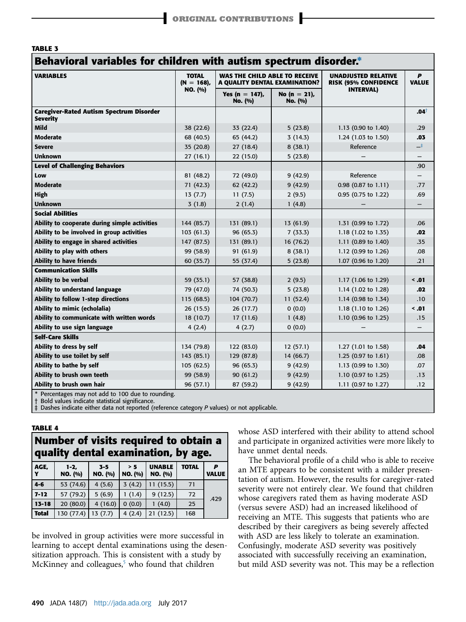<span id="page-5-0"></span>

| <b>TABLE 3</b>                                                     |                                          |                                                                |                         |                                                    |                   |  |  |
|--------------------------------------------------------------------|------------------------------------------|----------------------------------------------------------------|-------------------------|----------------------------------------------------|-------------------|--|--|
| Behavioral variables for children with autism spectrum disorder.*  |                                          |                                                                |                         |                                                    |                   |  |  |
| <b>VARIABLES</b>                                                   | <b>TOTAL</b><br>$(N = 168)$ ,<br>NO. (%) | WAS THE CHILD ABLE TO RECEIVE<br>A QUALITY DENTAL EXAMINATION? |                         | <b>UNADJUSTED RELATIVE</b><br>RISK (95% CONFIDENCE | P<br><b>VALUE</b> |  |  |
|                                                                    |                                          | Yes (n = 147),<br>No. (%)                                      | No (n = 21),<br>No. (%) | <b>INTERVAL)</b>                                   |                   |  |  |
| <b>Caregiver-Rated Autism Spectrum Disorder</b><br><b>Severity</b> |                                          |                                                                |                         |                                                    | $.04^+$           |  |  |
| Mild                                                               | 38 (22.6)                                | 33 (22.4)                                                      | 5(23.8)                 | 1.13 (0.90 to 1.40)                                | .29               |  |  |
| <b>Moderate</b>                                                    | 68 (40.5)                                | 65 (44.2)                                                      | 3(14.3)                 | 1.24 (1.03 to 1.50)                                | .03               |  |  |
| <b>Severe</b>                                                      | 35 (20.8)                                | 27(18.4)                                                       | 8(38.1)                 | Reference                                          | $\rightarrow$     |  |  |
| <b>Unknown</b>                                                     | 27(16.1)                                 | 22 (15.0)                                                      | 5(23.8)                 |                                                    |                   |  |  |
| <b>Level of Challenging Behaviors</b>                              |                                          |                                                                |                         |                                                    | .90               |  |  |
| Low                                                                | 81 (48.2)                                | 72 (49.0)                                                      | 9(42.9)                 | Reference                                          |                   |  |  |
| <b>Moderate</b>                                                    | 71 (42.3)                                | 62 (42.2)                                                      | 9(42.9)                 | 0.98 (0.87 to 1.11)                                | .77               |  |  |
| High                                                               | 13(7.7)                                  | 11(7.5)                                                        | 2(9.5)                  | 0.95 (0.75 to 1.22)                                | .69               |  |  |
| <b>Unknown</b>                                                     | 3(1.8)                                   | 2(1.4)                                                         | 1(4.8)                  |                                                    |                   |  |  |
| <b>Social Abilities</b>                                            |                                          |                                                                |                         |                                                    |                   |  |  |
| Ability to cooperate during simple activities                      | 144 (85.7)                               | 131 (89.1)                                                     | 13 (61.9)               | 1.31 (0.99 to 1.72)                                | .06               |  |  |
| Ability to be involved in group activities                         | 103(61.3)                                | 96 (65.3)                                                      | 7(33.3)                 | 1.18 (1.02 to 1.35)                                | .02               |  |  |
| Ability to engage in shared activities                             | 147 (87.5)                               | 131 (89.1)                                                     | 16 (76.2)               | 1.11 (0.89 to 1.40)                                | .35               |  |  |
| Ability to play with others                                        | 99 (58.9)                                | 91 (61.9)                                                      | 8(38.1)                 | 1.12 (0.99 to 1.26)                                | .08               |  |  |
| <b>Ability to have friends</b>                                     | 60 (35.7)                                | 55 (37.4)                                                      | 5(23.8)                 | 1.07 (0.96 to 1.20)                                | .21               |  |  |
| <b>Communication Skills</b>                                        |                                          |                                                                |                         |                                                    |                   |  |  |
| Ability to be verbal                                               | 59 (35.1)                                | 57 (38.8)                                                      | 2(9.5)                  | 1.17 (1.06 to 1.29)                                | $\leq .01$        |  |  |
| Ability to understand language                                     | 79 (47.0)                                | 74 (50.3)                                                      | 5(23.8)                 | 1.14 (1.02 to 1.28)                                | .02               |  |  |
| Ability to follow 1-step directions                                | 115 (68.5)                               | 104 (70.7)                                                     | 11(52.4)                | 1.14 (0.98 to 1.34)                                | .10               |  |  |
| Ability to mimic (echolalia)                                       | 26 (15.5)                                | 26(17.7)                                                       | 0(0.0)                  | 1.18 (1.10 to 1.26)                                | $\leq$ .01        |  |  |
| Ability to communicate with written words                          | 18 (10.7)                                | 17(11.6)                                                       | 1(4.8)                  | 1.10 (0.96 to 1.25)                                | .15               |  |  |
| Ability to use sign language                                       | 4(2.4)                                   | 4(2.7)                                                         | 0(0.0)                  |                                                    |                   |  |  |
| <b>Self-Care Skills</b>                                            |                                          |                                                                |                         |                                                    |                   |  |  |
| Ability to dress by self                                           | 134 (79.8)                               | 122 (83.0)                                                     | 12(57.1)                | 1.27 (1.01 to 1.58)                                | .04               |  |  |
| Ability to use toilet by self                                      | 143 (85.1)                               | 129 (87.8)                                                     | 14 (66.7)               | 1.25 (0.97 to 1.61)                                | .08               |  |  |
| Ability to bathe by self                                           | 105(62.5)                                | 96 (65.3)                                                      | 9(42.9)                 | 1.13 (0.99 to 1.30)                                | .07               |  |  |
| Ability to brush own teeth                                         | 99 (58.9)                                | 90(61.2)                                                       | 9(42.9)                 | 1.10 (0.97 to 1.25)                                | .13               |  |  |
| Ability to brush own hair                                          | 96 (57.1)                                | 87 (59.2)                                                      | 9(42.9)                 | 1.11 (0.97 to 1.27)                                | .12               |  |  |
| * Percentages may not add to 100 due to rounding.                  |                                          |                                                                |                         |                                                    |                   |  |  |

\* Percentages may not add to 100 due to rounding. † Bold values indicate statistical significance.

‡ Dashes indicate either data not reported (reference category P values) or not applicable.

TABLE 4

| Number of visits required to obtain a<br>quality dental examination, by age. |                   |                    |                |                          |              |                   |
|------------------------------------------------------------------------------|-------------------|--------------------|----------------|--------------------------|--------------|-------------------|
| AGE,<br>Y                                                                    | $1-2.$<br>NO. (%) | $3 - 5$<br>NO. (%) | > 5<br>NO. (%) | <b>UNABLE</b><br>NO. (%) | <b>TOTAL</b> | P<br><b>VALUE</b> |
| $4 - 6$                                                                      | 53 (74.6)         | 4(5.6)             | 3(4.2)         | 11(15.5)                 | 71           |                   |
| $7 - 12$                                                                     | 57 (79.2)         | 5(6.9)             | 1(1.4)         | 9(12.5)                  | 72           | .429              |
| $13 - 18$                                                                    | 20(80.0)          | 4(16.0)            | 0(0.0)         | 1(4.0)                   | 25           |                   |
| <b>Total</b>                                                                 | 130 (77.4)        | 13(7.7)            | 4(2.4)         | 21(12.5)                 | 168          |                   |

be involved in group activities were more successful in learning to accept dental examinations using the desensitization approach. This is consistent with a study by McKinney and colleagues,<sup>[5](#page-7-0)</sup> who found that children

whose ASD interfered with their ability to attend school and participate in organized activities were more likely to have unmet dental needs.

The behavioral profile of a child who is able to receive an MTE appears to be consistent with a milder presentation of autism. However, the results for caregiver-rated severity were not entirely clear. We found that children whose caregivers rated them as having moderate ASD (versus severe ASD) had an increased likelihood of receiving an MTE. This suggests that patients who are described by their caregivers as being severely affected with ASD are less likely to tolerate an examination. Confusingly, moderate ASD severity was positively associated with successfully receiving an examination, but mild ASD severity was not. This may be a reflection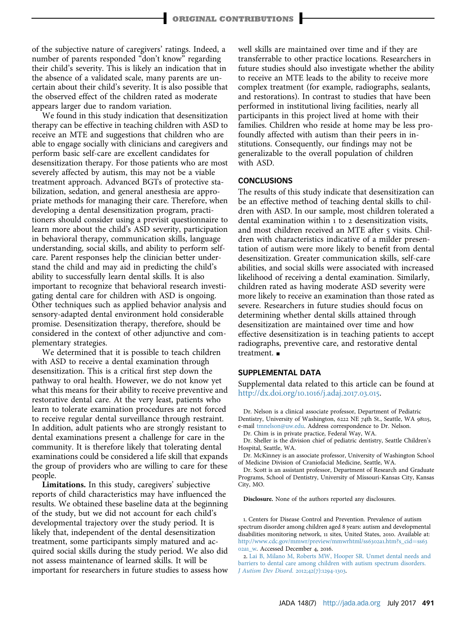<span id="page-6-0"></span>of the subjective nature of caregivers' ratings. Indeed, a number of parents responded "don't know" regarding their child's severity. This is likely an indication that in the absence of a validated scale, many parents are uncertain about their child's severity. It is also possible that the observed effect of the children rated as moderate appears larger due to random variation.

We found in this study indication that desensitization therapy can be effective in teaching children with ASD to receive an MTE and suggestions that children who are able to engage socially with clinicians and caregivers and perform basic self-care are excellent candidates for desensitization therapy. For those patients who are most severely affected by autism, this may not be a viable treatment approach. Advanced BGTs of protective stabilization, sedation, and general anesthesia are appropriate methods for managing their care. Therefore, when developing a dental desensitization program, practitioners should consider using a previsit questionnaire to learn more about the child's ASD severity, participation in behavioral therapy, communication skills, language understanding, social skills, and ability to perform selfcare. Parent responses help the clinician better understand the child and may aid in predicting the child's ability to successfully learn dental skills. It is also important to recognize that behavioral research investigating dental care for children with ASD is ongoing. Other techniques such as applied behavior analysis and sensory-adapted dental environment hold considerable promise. Desensitization therapy, therefore, should be considered in the context of other adjunctive and complementary strategies.

We determined that it is possible to teach children with ASD to receive a dental examination through desensitization. This is a critical first step down the pathway to oral health. However, we do not know yet what this means for their ability to receive preventive and restorative dental care. At the very least, patients who learn to tolerate examination procedures are not forced to receive regular dental surveillance through restraint. In addition, adult patients who are strongly resistant to dental examinations present a challenge for care in the community. It is therefore likely that tolerating dental examinations could be considered a life skill that expands the group of providers who are willing to care for these people.

Limitations. In this study, caregivers' subjective reports of child characteristics may have influenced the results. We obtained these baseline data at the beginning of the study, but we did not account for each child's developmental trajectory over the study period. It is likely that, independent of the dental desensitization treatment, some participants simply matured and acquired social skills during the study period. We also did not assess maintenance of learned skills. It will be important for researchers in future studies to assess how

well skills are maintained over time and if they are transferrable to other practice locations. Researchers in future studies should also investigate whether the ability to receive an MTE leads to the ability to receive more complex treatment (for example, radiographs, sealants, and restorations). In contrast to studies that have been performed in institutional living facilities, nearly all participants in this project lived at home with their families. Children who reside at home may be less profoundly affected with autism than their peers in institutions. Consequently, our findings may not be generalizable to the overall population of children with ASD.

#### **CONCLUSIONS**

The results of this study indicate that desensitization can be an effective method of teaching dental skills to children with ASD. In our sample, most children tolerated a dental examination within 1 to 2 desensitization visits, and most children received an MTE after 5 visits. Children with characteristics indicative of a milder presentation of autism were more likely to benefit from dental desensitization. Greater communication skills, self-care abilities, and social skills were associated with increased likelihood of receiving a dental examination. Similarly, children rated as having moderate ASD severity were more likely to receive an examination than those rated as severe. Researchers in future studies should focus on determining whether dental skills attained through desensitization are maintained over time and how effective desensitization is in teaching patients to accept radiographs, preventive care, and restorative dental treatment. $\blacksquare$ 

#### SUPPLEMENTAL DATA

Supplemental data related to this article can be found at [http://dx.doi.org/](http://dx.doi.org/10.1016/j.adaj.2017.03.015)10.1016/j.adaj.2017.03.015.

Dr. Nelson is a clinical associate professor, Department of Pediatric Dentistry, University of Washington, 6222 NE 74th St., Seattle, WA 98115, e-mail [tmnelson@uw.edu](mailto:tmnelson@uw.edu). Address correspondence to Dr. Nelson.

Dr. Chim is in private practice, Federal Way, WA.

Dr. Sheller is the division chief of pediatric dentistry, Seattle Children's Hospital, Seattle, WA.

Dr. McKinney is an associate professor, University of Washington School of Medicine Division of Craniofacial Medicine, Seattle, WA.

Dr. Scott is an assistant professor, Department of Research and Graduate Programs, School of Dentistry, University of Missouri-Kansas City, Kansas City, MO.

Disclosure. None of the authors reported any disclosures.

1. Centers for Disease Control and Prevention. Prevalence of autism spectrum disorder among children aged 8 years: autism and developmental disabilities monitoring network, 11 sites, United States, 2010. Available at: [http://www.cdc.gov/mmwr/preview/mmwrhtml/ss](http://www.cdc.gov/mmwr/preview/mmwrhtml/ss6302a1.htm?s_cid=ss6302a1_w)[63](http://www.cdc.gov/mmwr/preview/mmwrhtml/ss6302a1.htm?s_cid=ss6302a1_w)02a1.htm?s\_cid=ss63 02a1[\\_w](http://www.cdc.gov/mmwr/preview/mmwrhtml/ss6302a1.htm?s_cid=ss6302a1_w). Accessed December 4, 2016.

2. [Lai B, Milano M, Roberts MW, Hooper SR. Unmet dental needs and](http://refhub.elsevier.com/S0002-8177(17)30275-1/sref2) [barriers to dental care among children with autism spectrum disorders.](http://refhub.elsevier.com/S0002-8177(17)30275-1/sref2) [J Autism Dev Disord](http://refhub.elsevier.com/S0002-8177(17)30275-1/sref2). 2012;42(7):1294-1303.